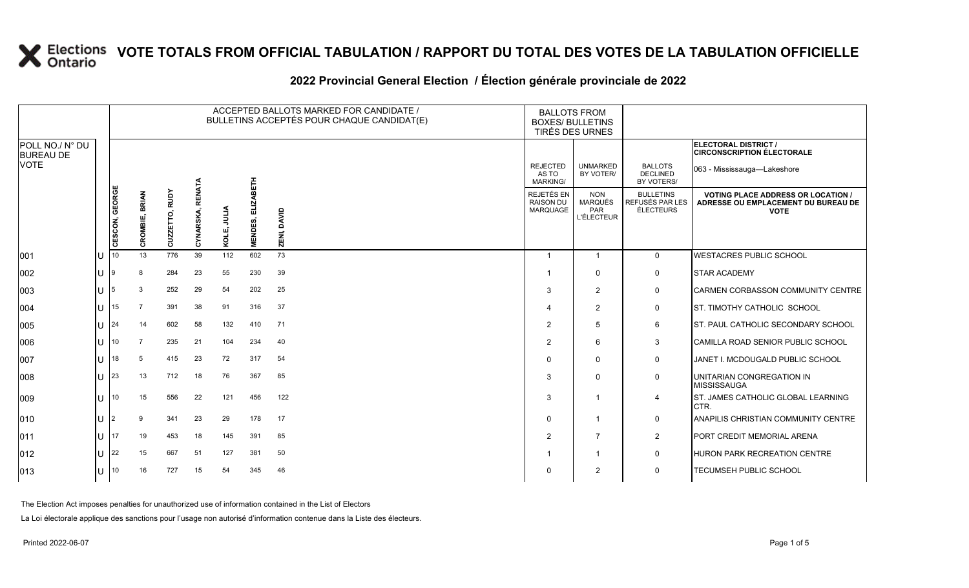#### **2022 Provincial General Election / Élection générale provinciale de 2022**

|                                     |    |                 |                          |                |                            |                | ACCEPTED BALLOTS MARKED FOR CANDIDATE /<br>BULLETINS ACCEPTÉS POUR CHAQUE CANDIDAT(E) | <b>BALLOTS FROM</b><br><b>BOXES/ BULLETINS</b><br>TIRÉS DES URNES |                                                   |                                                                 |                                                         |                                                                                                 |
|-------------------------------------|----|-----------------|--------------------------|----------------|----------------------------|----------------|---------------------------------------------------------------------------------------|-------------------------------------------------------------------|---------------------------------------------------|-----------------------------------------------------------------|---------------------------------------------------------|-------------------------------------------------------------------------------------------------|
| POLL NO./ N° DU<br><b>BUREAU DE</b> |    |                 |                          |                |                            |                |                                                                                       |                                                                   |                                                   |                                                                 |                                                         | ELECTORAL DISTRICT /<br><b>CIRCONSCRIPTION ÉLECTORALE</b>                                       |
| <b>VOTE</b>                         |    |                 |                          |                |                            |                |                                                                                       |                                                                   | <b>REJECTED</b><br>AS TO<br><b>MARKING/</b>       | <b>UNMARKED</b><br>BY VOTER/                                    | <b>BALLOTS</b><br><b>DECLINED</b><br>BY VOTERS/         | 063 - Mississauga-Lakeshore                                                                     |
|                                     |    | CESCON, GEORGE  | <b>BRIAN</b><br>CROMBIE, | CUZZETTO, RUDY | <b>RENATA</b><br>CYNARSKA, | JULIA<br>KOLE, | <b>ELIZABETH</b><br><b>MENDES,</b>                                                    | DAVID<br>ZENI,                                                    | REJETÉS EN<br><b>RAISON DU</b><br><b>MARQUAGE</b> | <b>NON</b><br><b>MARQUÉS</b><br><b>PAR</b><br><b>L'ÉLECTEUR</b> | <b>BULLETINS</b><br>REFUSÉS PAR LES<br><b>ÉLECTEURS</b> | <b>VOTING PLACE ADDRESS OR LOCATION /</b><br>ADRESSE OU EMPLACEMENT DU BUREAU DE<br><b>VOTE</b> |
| 001                                 | lu | 10 <sup>°</sup> | 13                       | 776            | 39                         | 112            | 602                                                                                   | 73                                                                | $\overline{1}$                                    | $\overline{1}$                                                  | $\overline{0}$                                          | <b>WESTACRES PUBLIC SCHOOL</b>                                                                  |
| 002                                 | ΙU | 9               | 8                        | 284            | 23                         | 55             | 230                                                                                   | 39                                                                |                                                   | $\Omega$                                                        | $\mathbf 0$                                             | <b>STAR ACADEMY</b>                                                                             |
| 003                                 | lU | 5               | 3                        | 252            | 29                         | 54             | 202                                                                                   | 25                                                                | 3                                                 | $\overline{2}$                                                  | $\mathsf{O}$                                            | <b>CARMEN CORBASSON COMMUNITY CENTRE</b>                                                        |
| 004                                 | ΙU | 15              |                          | 391            | 38                         | 91             | 316                                                                                   | 37                                                                | $\overline{4}$                                    | $\overline{2}$                                                  | $\mathsf{O}$                                            | <b>ST. TIMOTHY CATHOLIC SCHOOL</b>                                                              |
| 005                                 | ΙU | 24              | 14                       | 602            | 58                         | 132            | 410                                                                                   | 71                                                                | $\overline{2}$                                    | 5                                                               | 6                                                       | ST. PAUL CATHOLIC SECONDARY SCHOOL                                                              |
| 006                                 | lu | 10              | $\overline{7}$           | 235            | 21                         | 104            | 234                                                                                   | 40                                                                | 2                                                 | 6                                                               | 3                                                       | CAMILLA ROAD SENIOR PUBLIC SCHOOL                                                               |
| 007                                 | lU | 18              | 5                        | 415            | 23                         | 72             | 317                                                                                   | 54                                                                | $\Omega$                                          | $\mathbf{0}$                                                    | $\mathsf{O}$                                            | JANET I. MCDOUGALD PUBLIC SCHOOL                                                                |
| 008                                 | ΙU | 23              | 13                       | 712            | 18                         | 76             | 367                                                                                   | 85                                                                | 3                                                 | $\Omega$                                                        | $\mathbf 0$                                             | UNITARIAN CONGREGATION IN<br><b>MISSISSAUGA</b>                                                 |
| 009                                 | ΙU | 10 <sup>°</sup> | 15                       | 556            | 22                         | 121            | 456                                                                                   | 122                                                               | 3                                                 | -1                                                              | $\overline{4}$                                          | ST. JAMES CATHOLIC GLOBAL LEARNING<br>CTR.                                                      |
| $ 010\rangle$                       | lU |                 | q                        | 341            | 23                         | 29             | 178                                                                                   | 17                                                                | $\mathbf 0$                                       | -1                                                              | 0                                                       | ANAPILIS CHRISTIAN COMMUNITY CENTRE                                                             |
| $ 011\rangle$                       | ΙU | 17              | 19                       | 453            | 18                         | 145            | 391                                                                                   | 85                                                                | 2                                                 | $\overline{7}$                                                  | $\overline{2}$                                          | PORT CREDIT MEMORIAL ARENA                                                                      |
| $ 012\rangle$                       | lU | 22              | 15                       | 667            | 51                         | 127            | 381                                                                                   | 50                                                                |                                                   | 1                                                               | $\mathbf 0$                                             | HURON PARK RECREATION CENTRE                                                                    |
| $ 013\rangle$                       | U  | 10              | 16                       | 727            | 15                         | 54             | 345                                                                                   | 46                                                                | $\Omega$                                          | $\overline{2}$                                                  | $\mathbf 0$                                             | TECUMSEH PUBLIC SCHOOL                                                                          |

The Election Act imposes penalties for unauthorized use of information contained in the List of Electors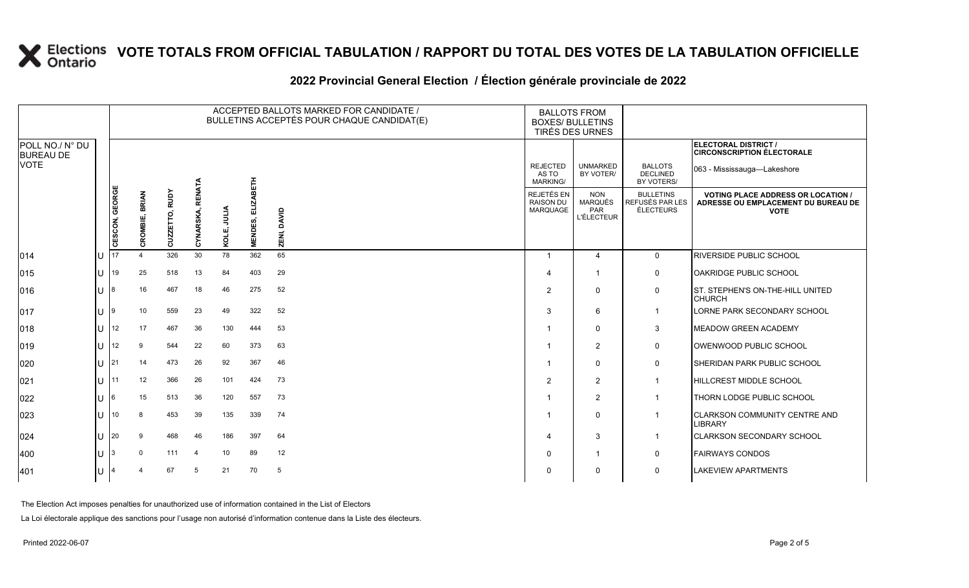### **2022 Provincial General Election / Élection générale provinciale de 2022**

|                                     |    |                |                |                |                  |               | ACCEPTED BALLOTS MARKED FOR CANDIDATE /<br>BULLETINS ACCEPTÉS POUR CHAQUE CANDIDAT(E) | <b>BALLOTS FROM</b><br><b>BOXES/ BULLETINS</b> | <b>TIRÉS DES URNES</b>                      |                                                          |                                                         |                                                                                                 |
|-------------------------------------|----|----------------|----------------|----------------|------------------|---------------|---------------------------------------------------------------------------------------|------------------------------------------------|---------------------------------------------|----------------------------------------------------------|---------------------------------------------------------|-------------------------------------------------------------------------------------------------|
| POLL NO./ N° DU<br><b>BUREAU DE</b> |    |                |                |                |                  |               |                                                                                       |                                                |                                             |                                                          |                                                         | ELECTORAL DISTRICT /<br><b>CIRCONSCRIPTION ÉLECTORALE</b>                                       |
| <b>VOTE</b>                         |    |                |                |                |                  |               |                                                                                       |                                                | <b>REJECTED</b><br>AS TO<br><b>MARKING/</b> | <b>UNMARKED</b><br>BY VOTER/                             | <b>BALLOTS</b><br><b>DECLINED</b><br>BY VOTERS/         | 063 - Mississauga-Lakeshore                                                                     |
|                                     |    | CESCON, GEORGE | CROMBIE, BRIAN | CUZZETTO, RUDY | CYNARSKA, RENATA | MTIN<br>KOLE, | <b>ELIZABETH</b><br><b>MENDES,</b>                                                    | DAVID<br>ZENI,                                 | REJETÉS EN<br><b>RAISON DU</b><br>MARQUAGE  | <b>NON</b><br><b>MARQUÉS</b><br>PAR<br><b>L'ÉLECTEUR</b> | <b>BULLETINS</b><br>REFUSÉS PAR LES<br><b>ÉLECTEURS</b> | <b>VOTING PLACE ADDRESS OR LOCATION /</b><br>ADRESSE OU EMPLACEMENT DU BUREAU DE<br><b>VOTE</b> |
| 014                                 | lu | 17             |                | 326            | 30               | 78            | 362                                                                                   | 65                                             | $\mathbf{1}$                                | $\overline{4}$                                           | $\mathbf 0$                                             | <b>RIVERSIDE PUBLIC SCHOOL</b>                                                                  |
| $ 015\rangle$                       | ΙU | 19             | 25             | 518            | 13               | 84            | 403                                                                                   | 29                                             |                                             | $\mathbf{1}$                                             | 0                                                       | OAKRIDGE PUBLIC SCHOOL                                                                          |
| 016                                 | lu | 8              | 16             | 467            | 18               | 46            | 275                                                                                   | 52                                             | 2                                           | $\mathbf{0}$                                             | $\mathbf 0$                                             | ST. STEPHEN'S ON-THE-HILL UNITED<br><b>CHURCH</b>                                               |
| 017                                 | lu | 9              | 10             | 559            | 23               | 49            | 322                                                                                   | 52                                             | 3                                           | 6                                                        | $\overline{1}$                                          | LORNE PARK SECONDARY SCHOOL                                                                     |
| $ 018\rangle$                       | lu | 12             | 17             | 467            | 36               | 130           | 444                                                                                   | 53                                             |                                             | $\mathbf{0}$                                             | 3                                                       | <b>MEADOW GREEN ACADEMY</b>                                                                     |
| $ 019\rangle$                       | lυ | 12             | 9              | 544            | 22               | 60            | 373                                                                                   | 63                                             |                                             | $\overline{2}$                                           | $\mathbf 0$                                             | OWENWOOD PUBLIC SCHOOL                                                                          |
| 020                                 | ΙU | 21             | 14             | 473            | 26               | 92            | 367                                                                                   | 46                                             |                                             | $\mathbf{0}$                                             | $\mathbf 0$                                             | <b>I</b> SHERIDAN PARK PUBLIC SCHOOL                                                            |
| 021                                 | lu | 11             | 12             | 366            | 26               | 101           | 424                                                                                   | 73                                             | 2                                           | $\overline{2}$                                           | $\mathbf{1}$                                            | <b>HILLCREST MIDDLE SCHOOL</b>                                                                  |
| 022                                 | ΙU |                | 15             | 513            | 36               | 120           | 557                                                                                   | 73                                             |                                             | $\overline{2}$                                           | $\mathbf{1}$                                            | THORN LODGE PUBLIC SCHOOL                                                                       |
| 023                                 | ΙU | 10             | 8              | 453            | 39               | 135           | 339                                                                                   | 74                                             |                                             | $\mathbf{0}$                                             | $\mathbf{1}$                                            | <b>CLARKSON COMMUNITY CENTRE AND</b><br><b>LIBRARY</b>                                          |
| 024                                 | lu | 20             | 9              | 468            | 46               | 186           | 397                                                                                   | 64                                             |                                             | 3                                                        | $\mathbf{1}$                                            | CLARKSON SECONDARY SCHOOL                                                                       |
| $ 400\rangle$                       | Iυ |                | $\mathbf 0$    | 111            | $\overline{4}$   | 10            | 89                                                                                    | 12                                             | $\Omega$                                    | 1                                                        | 0                                                       | <b>FAIRWAYS CONDOS</b>                                                                          |
| 401                                 | lυ |                |                | 67             | -5               | 21            | 70                                                                                    | 5                                              | O                                           | $\Omega$                                                 | $\mathbf 0$                                             | <b>LAKEVIEW APARTMENTS</b>                                                                      |

The Election Act imposes penalties for unauthorized use of information contained in the List of Electors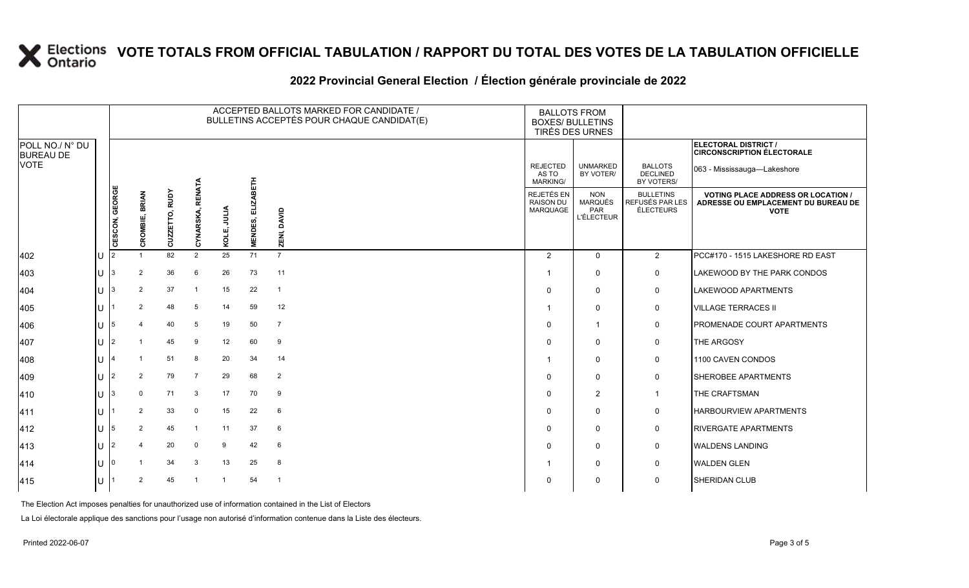### **2022 Provincial General Election / Élection générale provinciale de 2022**

|                                     |                                                    | ACCEPTED BALLOTS MARKED FOR CANDIDATE /<br>BULLETINS ACCEPTÉS POUR CHAQUE CANDIDAT(E) |                |                |                            |              |                             |                | <b>BALLOTS FROM</b><br><b>BOXES/ BULLETINS</b>    | TIRÉS DES URNES                                          |                                                  |                                                                                                 |
|-------------------------------------|----------------------------------------------------|---------------------------------------------------------------------------------------|----------------|----------------|----------------------------|--------------|-----------------------------|----------------|---------------------------------------------------|----------------------------------------------------------|--------------------------------------------------|-------------------------------------------------------------------------------------------------|
| POLL NO./ N° DU<br><b>BUREAU DE</b> |                                                    |                                                                                       |                |                |                            |              |                             |                |                                                   |                                                          |                                                  | ELECTORAL DISTRICT /<br><b>CIRCONSCRIPTION ÉLECTORALE</b>                                       |
| <b>VOTE</b>                         |                                                    |                                                                                       |                |                |                            |              |                             |                | <b>REJECTED</b><br>AS TO<br><b>MARKING/</b>       | <b>UNMARKED</b><br>BY VOTER/                             | <b>BALLOTS</b><br><b>DECLINED</b><br>BY VOTERS/  | 063 - Mississauga-Lakeshore                                                                     |
|                                     |                                                    | CESCON, GEORGE                                                                        | CROMBIE, BRIAN | CUZZETTO, RUDY | <b>RENATA</b><br>CYNARSKA, | KOLE, JULIA  | <b>ELIZABETH</b><br>MENDES, | ZENI, DAVID    | <b>REJETÉS EN</b><br><b>RAISON DU</b><br>MARQUAGE | <b>NON</b><br><b>MARQUÉS</b><br>PAR<br><b>L'ÉLECTEUR</b> | <b>BULLETINS</b><br>REFUSÉS PAR LES<br>ÉLECTEURS | <b>VOTING PLACE ADDRESS OR LOCATION /</b><br>ADRESSE OU EMPLACEMENT DU BUREAU DE<br><b>VOTE</b> |
| 402                                 | U                                                  | l2                                                                                    |                | 82             | $\overline{2}$             | 25           | 71                          | $\overline{7}$ | $\overline{2}$                                    | $\mathbf 0$                                              | $\overline{2}$                                   | PCC#170 - 1515 LAKESHORE RD EAST                                                                |
| 403                                 | $U$  3                                             |                                                                                       | 2              | 36             | 6                          | 26           | 73                          | 11             |                                                   | $\mathbf 0$                                              | $\mathsf{O}$                                     | LAKEWOOD BY THE PARK CONDOS                                                                     |
| 404                                 | $\left  \right $ $\left  \right $ $\left  \right $ |                                                                                       | 2              | 37             |                            | 15           | 22                          | $\overline{1}$ | $\Omega$                                          | $\mathbf 0$                                              | $\pmb{0}$                                        | LAKEWOOD APARTMENTS                                                                             |
| 405                                 | U                                                  |                                                                                       | 2              | 48             | 5                          | 14           | 59                          | 12             |                                                   | $\mathbf 0$                                              | 0                                                | <b>VILLAGE TERRACES II</b>                                                                      |
| 406                                 | $\lfloor \rfloor$ $\rfloor$ 5                      |                                                                                       |                | 40             | 5                          | 19           | 50                          | $\overline{7}$ | $\Omega$                                          | $\overline{1}$                                           | $\mathbf 0$                                      | PROMENADE COURT APARTMENTS                                                                      |
| 407                                 | l∪  2                                              |                                                                                       |                | 45             | 9                          | 12           | 60                          | 9              | $\Omega$                                          | $\mathbf 0$                                              | 0                                                | THE ARGOSY                                                                                      |
| 408                                 | U                                                  |                                                                                       |                | 51             | 8                          | 20           | 34                          | 14             |                                                   | $\mathbf 0$                                              | $\mathbf 0$                                      | 1100 CAVEN CONDOS                                                                               |
| 409                                 | U                                                  | 12                                                                                    | 2              | 79             | -7                         | 29           | 68                          | $\overline{2}$ | $\Omega$                                          | $\mathbf 0$                                              | $\mathbf 0$                                      | SHEROBEE APARTMENTS                                                                             |
| 410                                 | $\left  \right $ $\left  \right $ $\left  \right $ |                                                                                       | $\mathbf 0$    | 71             | 3                          | 17           | 70                          | 9              | $\Omega$                                          | $\overline{2}$                                           | $\overline{1}$                                   | THE CRAFTSMAN                                                                                   |
| 411                                 | U                                                  |                                                                                       | 2              | 33             | $\mathbf 0$                | 15           | 22                          | 6              | $\Omega$                                          | $\mathbf 0$                                              | 0                                                | <b>HARBOURVIEW APARTMENTS</b>                                                                   |
| 412                                 | $U$  5                                             |                                                                                       | 2              | 45             | -1                         | 11           | 37                          | 6              | $\mathbf{0}$                                      | $\mathbf 0$                                              | $\mathbf 0$                                      | <b>RIVERGATE APARTMENTS</b>                                                                     |
| 413                                 | U $ 2$                                             |                                                                                       |                | 20             | 0                          | 9            | 42                          | 6              | $\Omega$                                          | $\mathbf 0$                                              | $\mathsf{O}$                                     | <b>WALDENS LANDING</b>                                                                          |
| 414                                 | U                                                  | 10                                                                                    |                | 34             | 3                          | 13           | 25                          | 8              |                                                   | $\mathbf 0$                                              | $\mathbf 0$                                      | <b>WALDEN GLEN</b>                                                                              |
| 415                                 | $\cup$                                             |                                                                                       | $\overline{2}$ | 45             | -1                         | $\mathbf{1}$ | 54                          | -1             | 0                                                 | $\mathbf 0$                                              | $\mathbf 0$                                      | <b>SHERIDAN CLUB</b>                                                                            |

The Election Act imposes penalties for unauthorized use of information contained in the List of Electors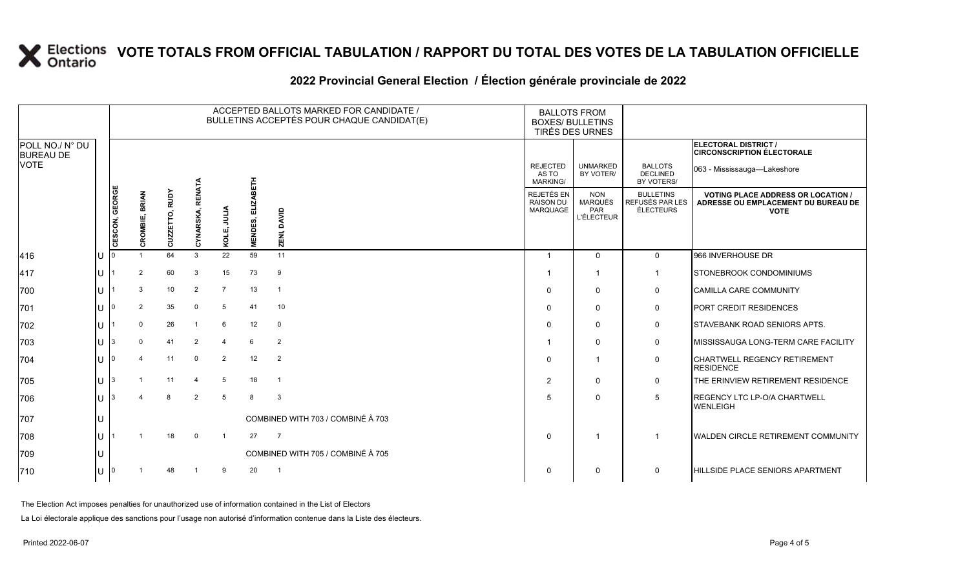### **2022 Provincial General Election / Élection générale provinciale de 2022**

|                                     |     |                |                |                |                  |                 |                                    | ACCEPTED BALLOTS MARKED FOR CANDIDATE /<br>BULLETINS ACCEPTÉS POUR CHAQUE CANDIDAT(E) | <b>BALLOTS FROM</b><br><b>BOXES/ BULLETINS</b><br>TIRÉS DES URNES |                                                          |                                                  |                                                                                                 |
|-------------------------------------|-----|----------------|----------------|----------------|------------------|-----------------|------------------------------------|---------------------------------------------------------------------------------------|-------------------------------------------------------------------|----------------------------------------------------------|--------------------------------------------------|-------------------------------------------------------------------------------------------------|
| POLL NO./ N° DU<br><b>BUREAU DE</b> |     |                |                |                |                  |                 |                                    |                                                                                       |                                                                   |                                                          |                                                  | ELECTORAL DISTRICT /<br><b>CIRCONSCRIPTION ÉLECTORALE</b>                                       |
| <b>VOTE</b>                         |     |                |                |                |                  |                 |                                    |                                                                                       | <b>REJECTED</b><br>AS TO<br><b>MARKING/</b>                       | <b>UNMARKED</b><br>BY VOTER/                             | <b>BALLOTS</b><br><b>DECLINED</b><br>BY VOTERS/  | 063 - Mississauga—Lakeshore                                                                     |
|                                     |     | CESCON, GEORGE | CROMBIE, BRIAN | CUZZETTO, RUDY | CYNARSKA, RENATA | KOLE, JULIA     | <b>ELIZABETH</b><br><b>MENDES,</b> | DAVID<br><b>ZENI,</b>                                                                 | REJETÉS EN<br><b>RAISON DU</b><br><b>MARQUAGE</b>                 | <b>NON</b><br><b>MARQUÉS</b><br>PAR<br><b>L'ÉLECTEUR</b> | <b>BULLETINS</b><br>REFUSÉS PAR LES<br>ÉLECTEURS | <b>VOTING PLACE ADDRESS OR LOCATION /</b><br>ADRESSE OU EMPLACEMENT DU BUREAU DE<br><b>VOTE</b> |
| 416                                 | ΙU  |                |                | 64             | 3                | 22              | 59                                 | 11                                                                                    | $\overline{1}$                                                    | $\Omega$                                                 | $\overline{0}$                                   | 966 INVERHOUSE DR                                                                               |
| 417                                 | lu  |                | 2              | 60             | -3               | 15              | 73                                 | 9                                                                                     |                                                                   |                                                          | $\mathbf 1$                                      | STONEBROOK CONDOMINIUMS                                                                         |
| 700                                 | lU  |                | 3              | 10             | 2                | $\overline{7}$  | 13                                 | $\overline{1}$                                                                        | $\mathbf 0$                                                       | $\Omega$                                                 | $\mathbf 0$                                      | <b>CAMILLA CARE COMMUNITY</b>                                                                   |
| 701                                 | ΙU  |                | $\overline{2}$ | 35             | $\Omega$         | 5               | 41                                 | 10                                                                                    | $\Omega$                                                          | $\Omega$                                                 | $\mathsf{O}$                                     | PORT CREDIT RESIDENCES                                                                          |
| 702                                 | lu  |                | $\Omega$       | 26             | $\overline{1}$   | 6               | 12                                 | $\mathbf 0$                                                                           | $\Omega$                                                          | 0                                                        | $\mathbf 0$                                      | <b>STAVEBANK ROAD SENIORS APTS.</b>                                                             |
| 703                                 | lu- | 3              | $\mathbf{0}$   | 41             | 2                | $\overline{4}$  | 6                                  | 2                                                                                     |                                                                   | $\Omega$                                                 | $\mathsf{O}$                                     | MISSISSAUGA LONG-TERM CARE FACILITY                                                             |
| 704                                 | lu  |                |                | 11             | $\mathbf 0$      | $\overline{2}$  | 12                                 | 2                                                                                     | $\mathbf 0$                                                       |                                                          | $\mathbf 0$                                      | CHARTWELL REGENCY RETIREMENT<br><b>RESIDENCE</b>                                                |
| 705                                 | Iυ  | 3              |                | 11             | $\overline{4}$   | $5\overline{5}$ | 18                                 | $\overline{1}$                                                                        | $\overline{2}$                                                    | $\Omega$                                                 | $\mathsf{O}$                                     | THE ERINVIEW RETIREMENT RESIDENCE                                                               |
| 706                                 | lu  | 3              |                | 8              | 2                | 5               | 8                                  | 3                                                                                     | 5                                                                 | 0                                                        | 5                                                | <b>REGENCY LTC LP-O/A CHARTWELL</b><br><b>WENLEIGH</b>                                          |
| 707                                 | lU  |                |                |                |                  |                 |                                    | COMBINED WITH 703 / COMBINÉ À 703                                                     |                                                                   |                                                          |                                                  |                                                                                                 |
| 708                                 | lu  |                |                | 18             | $\Omega$         |                 | 27                                 | $\overline{7}$                                                                        | $\Omega$                                                          |                                                          |                                                  | <b>WALDEN CIRCLE RETIREMENT COMMUNITY</b>                                                       |
| 709                                 | lU  |                |                |                |                  |                 |                                    | COMBINED WITH 705 / COMBINÉ À 705                                                     |                                                                   |                                                          |                                                  |                                                                                                 |
| 710                                 | lU  |                |                | 48             |                  | 9               | 20                                 | $\overline{1}$                                                                        | $\Omega$                                                          | $\Omega$                                                 | $\Omega$                                         | HILLSIDE PLACE SENIORS APARTMENT                                                                |

The Election Act imposes penalties for unauthorized use of information contained in the List of Electors